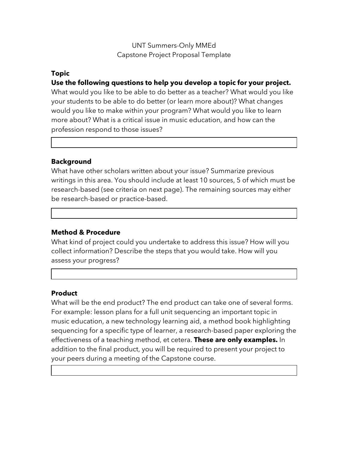## UNT Summers-Only MMEd Capstone Project Proposal Template

## **Topic**

**Use the following questions to help you develop a topic for your project.**

What would you like to be able to do better as a teacher? What would you like your students to be able to do better (or learn more about)? What changes would you like to make within your program? What would you like to learn more about? What is a critical issue in music education, and how can the profession respond to those issues?

## **Background**

What have other scholars written about your issue? Summarize previous writings in this area. You should include at least 10 sources, 5 of which must be research-based (see criteria on next page). The remaining sources may either be research-based or practice-based.

### **Method & Procedure**

What kind of project could you undertake to address this issue? How will you collect information? Describe the steps that you would take. How will you assess your progress?

### **Product**

What will be the end product? The end product can take one of several forms. For example: lesson plans for a full unit sequencing an important topic in music education, a new technology learning aid, a method book highlighting sequencing for a specific type of learner, a research-based paper exploring the effectiveness of a teaching method, et cetera. **These are only examples.** In addition to the final product, you will be required to present your project to your peers during a meeting of the Capstone course.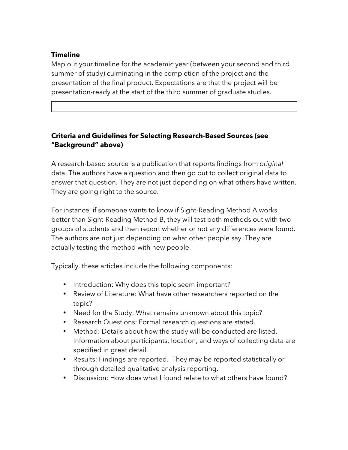## **Timeline**

Map out your timeline for the academic year (between your second and third summer of study) culminating in the completion of the project and the presentation of the final product. Expectations are that the project will be presentation-ready at the start of the third summer of graduate studies.

# **Criteria and Guidelines for Selecting Research-Based Sources (see "Background" above)**

A research-based source is a publication that reports findings from *original*  data. The authors have a question and then go out to collect original data to answer that question. They are not just depending on what others have written. They are going right to the source.

For instance, if someone wants to know if Sight-Reading Method A works better than Sight-Reading Method B, they will test both methods out with two groups of students and then report whether or not any differences were found. The authors are not just depending on what other people say. They are actually testing the method with new people.

Typically, these articles include the following components:

- Introduction: Why does this topic seem important?
- Review of Literature: What have other researchers reported on the topic?
- Need for the Study: What remains unknown about this topic?
- Research Questions: Formal research questions are stated.
- Method: Details about how the study will be conducted are listed. Information about participants, location, and ways of collecting data are specified in great detail.
- Results: Findings are reported. They may be reported statistically or through detailed qualitative analysis reporting.
- Discussion: How does what I found relate to what others have found?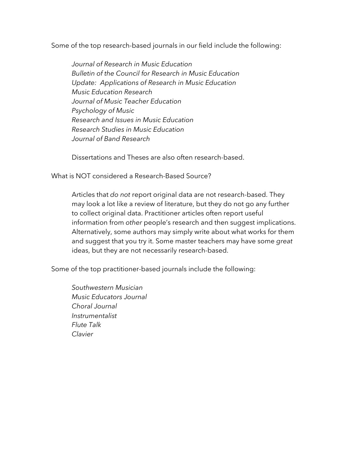Some of the top research-based journals in our field include the following:

*Journal of Research in Music Education Bulletin of the Council for Research in Music Education Update: Applications of Research in Music Education Music Education Research Journal of Music Teacher Education Psychology of Music Research and Issues in Music Education Research Studies in Music Education Journal of Band Research*

Dissertations and Theses are also often research-based.

What is NOT considered a Research-Based Source?

Articles that *do not* report original data are not research-based. They may look a lot like a review of literature, but they do not go any further to collect original data. Practitioner articles often report useful information from *other* people's research and then suggest implications. Alternatively, some authors may simply write about what works for them and suggest that you try it. Some master teachers may have some *great* ideas, but they are not necessarily research-based.

Some of the top practitioner-based journals include the following:

*Southwestern Musician Music Educators Journal Choral Journal Instrumentalist Flute Talk Clavier*